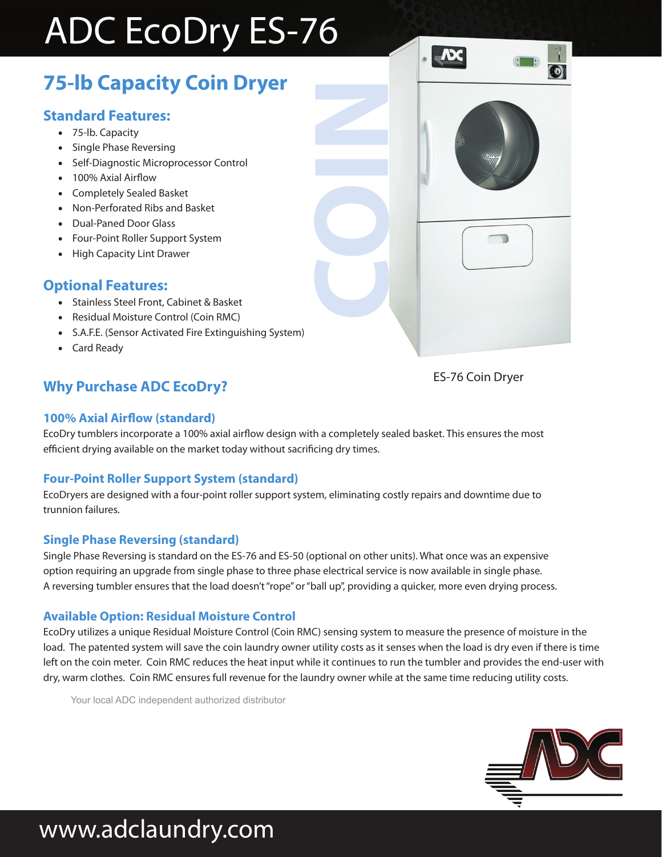# ADC EcoDry ES-76

## **75-lb Capacity Coin Dryer**

### **Standard Features:**

- 75-lb. Capacity
- Single Phase Reversing
- Self-Diagnostic Microprocessor Control
- 100% Axial Airflow
- Completely Sealed Basket
- Non-Perforated Ribs and Basket
- Dual-Paned Door Glass
- Four-Point Roller Support System
- High Capacity Lint Drawer

### **Optional Features:**

- Stainless Steel Front, Cabinet & Basket
- Residual Moisture Control (Coin RMC)
- S.A.F.E. (Sensor Activated Fire Extinguishing System)
- Card Ready

## ES-76 Coin Dryer **Why Purchase ADC EcoDry?**

 $\blacksquare$ 

#### **100% Axial Airflow (standard)**

EcoDry tumblers incorporate a 100% axial airflow design with a completely sealed basket. This ensures the most efficient drying available on the market today without sacrificing dry times.

**COIN**

#### **Four-Point Roller Support System (standard)**

EcoDryers are designed with a four-point roller support system, eliminating costly repairs and downtime due to trunnion failures.

#### **Single Phase Reversing (standard)**

Single Phase Reversing is standard on the ES-76 and ES-50 (optional on other units). What once was an expensive option requiring an upgrade from single phase to three phase electrical service is now available in single phase. A reversing tumbler ensures that the load doesn't "rope" or "ball up", providing a quicker, more even drying process.

#### **Available Option: Residual Moisture Control**

EcoDry utilizes a unique Residual Moisture Control (Coin RMC) sensing system to measure the presence of moisture in the load. The patented system will save the coin laundry owner utility costs as it senses when the load is dry even if there is time left on the coin meter. Coin RMC reduces the heat input while it continues to run the tumbler and provides the end-user with dry, warm clothes. Coin RMC ensures full revenue for the laundry owner while at the same time reducing utility costs.

Your local ADC independent authorized distributor



# www.adclaundry.com